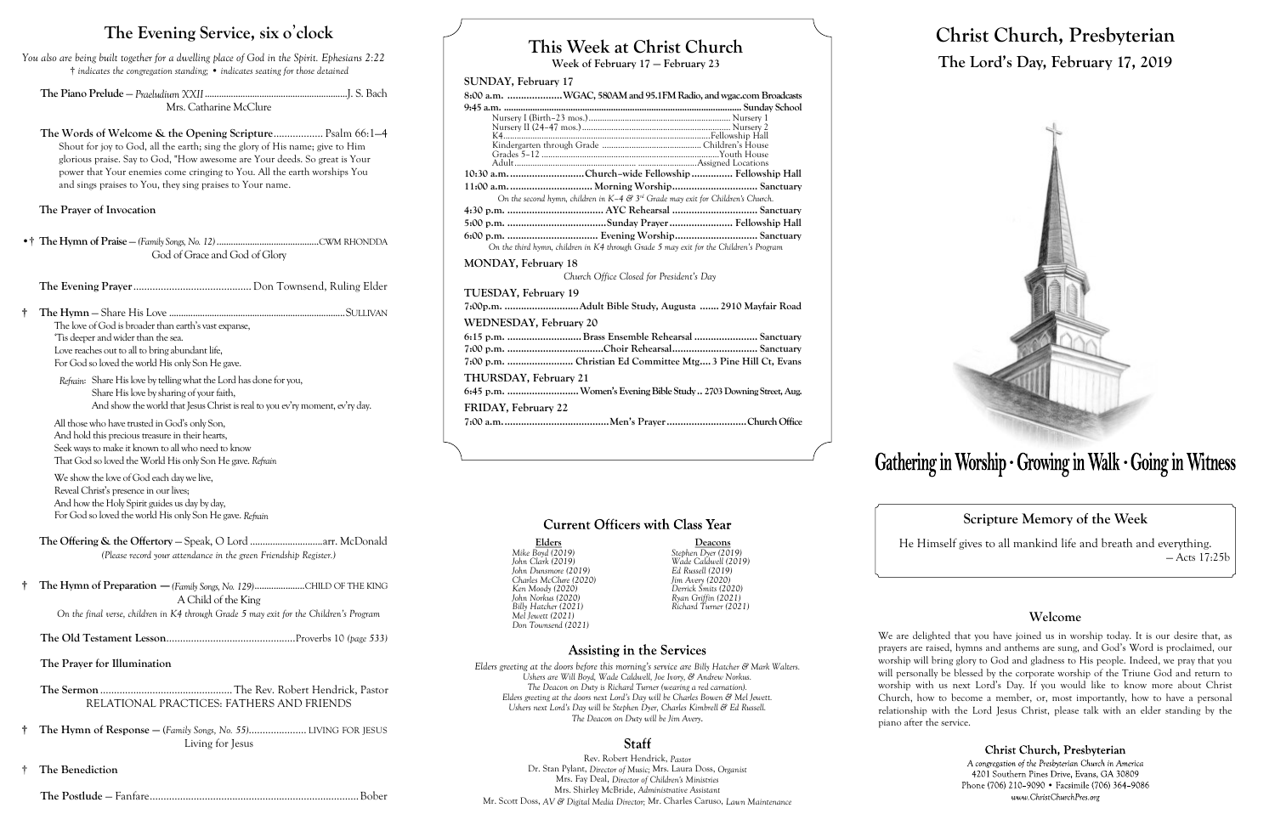## **This Week at Christ Church**

**Week of February 17 — February 23**

#### **SUNDAY, February 17**

| 8:00 a.m. WGAC, 580AM and 95.1FM Radio, and wgac.com Broadcasts                                           |
|-----------------------------------------------------------------------------------------------------------|
|                                                                                                           |
|                                                                                                           |
|                                                                                                           |
|                                                                                                           |
|                                                                                                           |
|                                                                                                           |
| 10:30 a.m. Church-wide Fellowship  Fellowship Hall                                                        |
| 11:00 a.m.  Morning Worship Sanctuary                                                                     |
| On the second hymn, children in K-4 $\mathcal{E}^3$ 3 <sup>rd</sup> Grade may exit for Children's Church. |
|                                                                                                           |
|                                                                                                           |
|                                                                                                           |
| On the third hymn, children in K4 through Grade 5 may exit for the Children's Program                     |
| <b>MONDAY, February 18</b>                                                                                |
| Church Office Closed for President's Day                                                                  |
| TUESDAY, February 19                                                                                      |
| 7:00p.m. Adult Bible Study, Augusta  2910 Mayfair Road                                                    |
| WEDNESDAY, February 20                                                                                    |
| 6:15 p.m. Brass Ensemble Rehearsal  Sanctuary                                                             |
|                                                                                                           |
| 7:00 p.m.  Christian Ed Committee Mtg 3 Pine Hill Ct, Evans                                               |
| THURSDAY, February 21                                                                                     |
| 6:45 p.m.  Women's Evening Bible Study  2703 Downing Street, Aug.                                         |
| FRIDAY, February 22                                                                                       |
|                                                                                                           |
|                                                                                                           |

#### **Current Officers with Class Year**

Elders Deacons<br>
Mike Boyd (2019) Stephen Dyer (2019) *Mike Boyd (2019) Stephen Dyer (2019) John Dunsmore (2019) Ed Russell (2019) Charles McClure (2020) Jim Avery (2020) Ken Moody (2020) Derrick Smits (2020) John Norkus (2020) Ryan Griffin (2021) Mel Jewett (2021) Don Townsend (2021)*

*John Clark (2019) Wade Caldwell (2019) Billy Hatcher (2021) Richard Turner (2021)*

#### **Assisting in the Services**

*Refrain*: Share His love by telling what the Lord has done for you, Share His love by sharing of your faith, And show the world that Jesus Christ is real to you ev'ry moment, ev'ry day.

> *Elders greeting at the doors before this morning's service are Billy Hatcher & Mark Walters. Ushers are Will Boyd, Wade Caldwell, Joe Ivory, & Andrew Norkus. The Deacon on Duty is Richard Turner (wearing a red carnation). Elders greeting at the doors next Lord's Day will be Charles Bowen & Mel Jewett. Ushers next Lord's Day will be Stephen Dyer, Charles Kimbrell & Ed Russell. The Deacon on Duty will be Jim Avery.*

#### **Staff**

Rev. Robert Hendrick, *Pastor* Dr. Stan Pylant, *Director of Music;* Mrs. Laura Doss, *Organist* Mrs. Fay Deal, *Director of Children's Ministries* Mrs. Shirley McBride, *Administrative Assistant* Mr. Scott Doss, *AV & Digital Media Director;* Mr. Charles Caruso, *Lawn Maintenance*

# **Christ Church, Presbyterian The Lord's Day, February 17, 2019**



# Gathering in Worship · Growing in Walk · Going in Witness

**Scripture Memory of the Week**

He Himself gives to all mankind life and breath and everything. — Acts 17:25b

#### **Welcome**

Christ Church, Presbyterian A congregation of the Presbyterian Church in America 4201 Southern Pines Drive, Evans, GA 30809 Phone (706) 210-9090 · Facsimile (706) 364-9086 www.ChristChurchPres.org

We are delighted that you have joined us in worship today. It is our desire that, as prayers are raised, hymns and anthems are sung, and God's Word is proclaimed, our worship will bring glory to God and gladness to His people. Indeed, we pray that you will personally be blessed by the corporate worship of the Triune God and return to worship with us next Lord's Day. If you would like to know more about Christ Church, how to become a member, or, most importantly, how to have a personal relationship with the Lord Jesus Christ, please talk with an elder standing by the piano after the service.

### **The Evening Service, six o**'**clock**

*You also are being built together for a dwelling place of God in the Spirit. Ephesians 2:22* † *indicates the congregation standing;* • *indicates seating for those detained*

**The Piano Prelude** — *Praeludium XXII*............................................................J. S. Bach Mrs. Catharine McClure

**The Words of Welcome & the Opening Scripture**.................. Psalm 66:1—4 Shout for joy to God, all the earth; sing the glory of His name; give to Him glorious praise. Say to God, "How awesome are Your deeds. So great is Your power that Your enemies come cringing to You. All the earth worships You and sings praises to You, they sing praises to Your name.

#### **The Prayer of Invocation**

•† **The Hymn of Praise** — *(Family Songs, No. 12)*...........................................CWM RHONDDA God of Grace and God of Glory

**The Evening Prayer**...........................................Don Townsend, Ruling Elder

**† The Hymn** — Share His Love ..........................................................................SULLIVAN The love of God is broader than earth's vast expanse, 'Tis deeper and wider than the sea. Love reaches out to all to bring abundant life, For God so loved the world His only Son He gave.

All those who have trusted in God's only Son, And hold this precious treasure in their hearts, Seek ways to make it known to all who need to know That God so loved the World His only Son He gave. *Refrain*

We show the love of God each day we live, Reveal Christ's presence in our lives; And how the Holy Spirit guides us day by day, For God so loved the world His only Son He gave. *Refrain*

**The Offering & the Offertory** — Speak, O Lord .............................arr. McDonald *(Please record your attendance in the green Friendship Register.)*

**† The Hymn of Preparation** —*(Family Songs, No. 129)*.....................CHILD OF THE KING A Child of the King

*On the final verse, children in K4 through Grade 5 may exit for the Children's Program*

**The Old Testament Lesson**...............................................Proverbs 10 *(page 533)*

**The Prayer for Illumination**

**The Sermon** ................................................The Rev. Robert Hendrick, Pastor RELATIONAL PRACTICES: FATHERS AND FRIENDS

- **† The Hymn of Response —** (*Family Songs, No. 55)*..................... LIVING FOR JESUS Living for Jesus
- † **The Benediction**

**The Postlude** — Fanfare............................................................................Bober